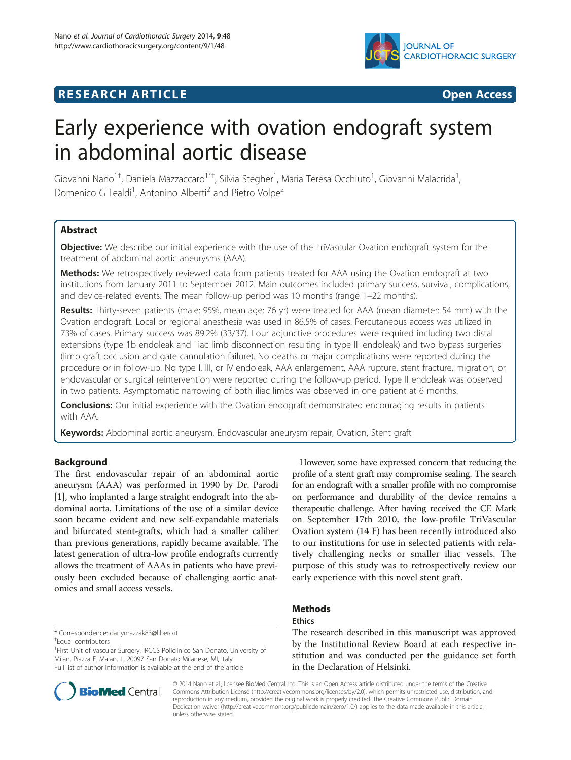

# **RESEARCH ARTICLE Example 2014 CONSIDERING CONSIDERING CONSIDERING CONSIDERING CONSIDERING CONSIDERING CONSIDERING CONSIDERING CONSIDERING CONSIDERING CONSIDERING CONSIDERING CONSIDERING CONSIDERING CONSIDERING CONSIDE**

# Early experience with ovation endograft system in abdominal aortic disease

Giovanni Nano<sup>1†</sup>, Daniela Mazzaccaro<sup>1\*†</sup>, Silvia Stegher<sup>1</sup>, Maria Teresa Occhiuto<sup>1</sup>, Giovanni Malacrida<sup>1</sup> , Domenico G Tealdi<sup>1</sup>, Antonino Alberti<sup>2</sup> and Pietro Volpe<sup>2</sup>

# **Abstract**

**Objective:** We describe our initial experience with the use of the TriVascular Ovation endograft system for the treatment of abdominal aortic aneurysms (AAA).

Methods: We retrospectively reviewed data from patients treated for AAA using the Ovation endograft at two institutions from January 2011 to September 2012. Main outcomes included primary success, survival, complications, and device-related events. The mean follow-up period was 10 months (range 1–22 months).

Results: Thirty-seven patients (male: 95%, mean age: 76 yr) were treated for AAA (mean diameter: 54 mm) with the Ovation endograft. Local or regional anesthesia was used in 86.5% of cases. Percutaneous access was utilized in 73% of cases. Primary success was 89.2% (33/37). Four adjunctive procedures were required including two distal extensions (type 1b endoleak and iliac limb disconnection resulting in type III endoleak) and two bypass surgeries (limb graft occlusion and gate cannulation failure). No deaths or major complications were reported during the procedure or in follow-up. No type I, III, or IV endoleak, AAA enlargement, AAA rupture, stent fracture, migration, or endovascular or surgical reintervention were reported during the follow-up period. Type II endoleak was observed in two patients. Asymptomatic narrowing of both iliac limbs was observed in one patient at 6 months.

**Conclusions:** Our initial experience with the Ovation endograft demonstrated encouraging results in patients with AAA.

Keywords: Abdominal aortic aneurysm, Endovascular aneurysm repair, Ovation, Stent graft

# Background

The first endovascular repair of an abdominal aortic aneurysm (AAA) was performed in 1990 by Dr. Parodi [[1\]](#page-5-0), who implanted a large straight endograft into the abdominal aorta. Limitations of the use of a similar device soon became evident and new self-expandable materials and bifurcated stent-grafts, which had a smaller caliber than previous generations, rapidly became available. The latest generation of ultra-low profile endografts currently allows the treatment of AAAs in patients who have previously been excluded because of challenging aortic anatomies and small access vessels.

\* Correspondence: [danymazzak83@libero.it](mailto:danymazzak83@libero.it) †

Equal contributors

However, some have expressed concern that reducing the profile of a stent graft may compromise sealing. The search for an endograft with a smaller profile with no compromise on performance and durability of the device remains a therapeutic challenge. After having received the CE Mark on September 17th 2010, the low-profile TriVascular Ovation system (14 F) has been recently introduced also to our institutions for use in selected patients with relatively challenging necks or smaller iliac vessels. The purpose of this study was to retrospectively review our early experience with this novel stent graft.

# Methods

# Ethics

The research described in this manuscript was approved by the Institutional Review Board at each respective institution and was conducted per the guidance set forth in the Declaration of Helsinki.



<sup>&</sup>lt;sup>1</sup>First Unit of Vascular Surgery, IRCCS Policlinico San Donato, University of Milan, Piazza E. Malan, 1, 20097 San Donato Milanese, MI, Italy Full list of author information is available at the end of the article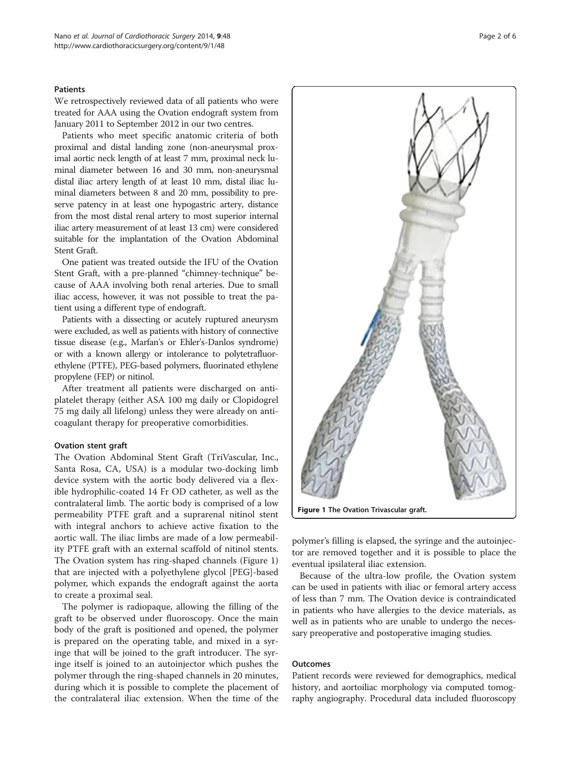# **Patients**

We retrospectively reviewed data of all patients who were treated for AAA using the Ovation endograft system from January 2011 to September 2012 in our two centres.

Patients who meet specific anatomic criteria of both proximal and distal landing zone (non-aneurysmal proximal aortic neck length of at least 7 mm, proximal neck luminal diameter between 16 and 30 mm, non-aneurysmal distal iliac artery length of at least 10 mm, distal iliac luminal diameters between 8 and 20 mm, possibility to preserve patency in at least one hypogastric artery, distance from the most distal renal artery to most superior internal iliac artery measurement of at least 13 cm) were considered suitable for the implantation of the Ovation Abdominal Stent Graft.

One patient was treated outside the IFU of the Ovation Stent Graft, with a pre-planned "chimney-technique" because of AAA involving both renal arteries. Due to small iliac access, however, it was not possible to treat the patient using a different type of endograft.

Patients with a dissecting or acutely ruptured aneurysm were excluded, as well as patients with history of connective tissue disease (e.g., Marfan's or Ehler's-Danlos syndrome) or with a known allergy or intolerance to polytetrafluorethylene (PTFE), PEG-based polymers, fluorinated ethylene propylene (FEP) or nitinol.

After treatment all patients were discharged on antiplatelet therapy (either ASA 100 mg daily or Clopidogrel 75 mg daily all lifelong) unless they were already on anticoagulant therapy for preoperative comorbidities.

# Ovation stent graft

The Ovation Abdominal Stent Graft (TriVascular, Inc., Santa Rosa, CA, USA) is a modular two-docking limb device system with the aortic body delivered via a flexible hydrophilic-coated 14 Fr OD catheter, as well as the contralateral limb. The aortic body is comprised of a low permeability PTFE graft and a suprarenal nitinol stent with integral anchors to achieve active fixation to the aortic wall. The iliac limbs are made of a low permeability PTFE graft with an external scaffold of nitinol stents. The Ovation system has ring-shaped channels (Figure 1) that are injected with a polyethylene glycol [PEG]-based polymer, which expands the endograft against the aorta to create a proximal seal.

The polymer is radiopaque, allowing the filling of the graft to be observed under fluoroscopy. Once the main body of the graft is positioned and opened, the polymer is prepared on the operating table, and mixed in a syringe that will be joined to the graft introducer. The syringe itself is joined to an autoinjector which pushes the polymer through the ring-shaped channels in 20 minutes, during which it is possible to complete the placement of the contralateral iliac extension. When the time of the



polymer's filling is elapsed, the syringe and the autoinjector are removed together and it is possible to place the eventual ipsilateral iliac extension.

Because of the ultra-low profile, the Ovation system can be used in patients with iliac or femoral artery access of less than 7 mm. The Ovation device is contraindicated in patients who have allergies to the device materials, as well as in patients who are unable to undergo the necessary preoperative and postoperative imaging studies.

## **Outcomes**

Patient records were reviewed for demographics, medical history, and aortoiliac morphology via computed tomography angiography. Procedural data included fluoroscopy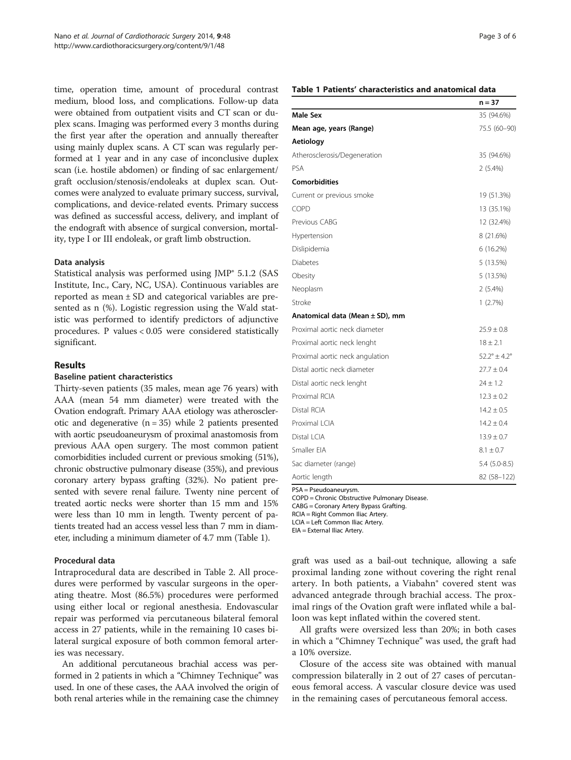time, operation time, amount of procedural contrast medium, blood loss, and complications. Follow-up data were obtained from outpatient visits and CT scan or duplex scans. Imaging was performed every 3 months during the first year after the operation and annually thereafter using mainly duplex scans. A CT scan was regularly performed at 1 year and in any case of inconclusive duplex scan (i.e. hostile abdomen) or finding of sac enlargement/ graft occlusion/stenosis/endoleaks at duplex scan. Outcomes were analyzed to evaluate primary success, survival, complications, and device-related events. Primary success was defined as successful access, delivery, and implant of the endograft with absence of surgical conversion, mortality, type I or III endoleak, or graft limb obstruction.

# Data analysis

Statistical analysis was performed using JMP® 5.1.2 (SAS Institute, Inc., Cary, NC, USA). Continuous variables are reported as mean ± SD and categorical variables are presented as n (%). Logistic regression using the Wald statistic was performed to identify predictors of adjunctive procedures. P values < 0.05 were considered statistically significant.

# Results

#### Baseline patient characteristics

Thirty-seven patients (35 males, mean age 76 years) with AAA (mean 54 mm diameter) were treated with the Ovation endograft. Primary AAA etiology was atherosclerotic and degenerative  $(n = 35)$  while 2 patients presented with aortic pseudoaneurysm of proximal anastomosis from previous AAA open surgery. The most common patient comorbidities included current or previous smoking (51%), chronic obstructive pulmonary disease (35%), and previous coronary artery bypass grafting (32%). No patient presented with severe renal failure. Twenty nine percent of treated aortic necks were shorter than 15 mm and 15% were less than 10 mm in length. Twenty percent of patients treated had an access vessel less than 7 mm in diameter, including a minimum diameter of 4.7 mm (Table 1).

# Procedural data

Intraprocedural data are described in Table [2](#page-3-0). All procedures were performed by vascular surgeons in the operating theatre. Most (86.5%) procedures were performed using either local or regional anesthesia. Endovascular repair was performed via percutaneous bilateral femoral access in 27 patients, while in the remaining 10 cases bilateral surgical exposure of both common femoral arteries was necessary.

An additional percutaneous brachial access was performed in 2 patients in which a "Chimney Technique" was used. In one of these cases, the AAA involved the origin of both renal arteries while in the remaining case the chimney

# Table 1 Patients' characteristics and anatomical data

|                                     | $n = 37$                       |
|-------------------------------------|--------------------------------|
| <b>Male Sex</b>                     | 35 (94.6%)                     |
| Mean age, years (Range)             | 75.5 (60-90)                   |
| Aetiology                           |                                |
| Atherosclerosis/Degeneration        | 35 (94.6%)                     |
| <b>PSA</b>                          | $2(5.4\%)$                     |
| Comorbidities                       |                                |
| Current or previous smoke           | 19 (51.3%)                     |
| COPD                                | 13 (35.1%)                     |
| Previous CABG                       | 12 (32.4%)                     |
| Hypertension                        | 8 (21.6%)                      |
| Dislipidemia                        | 6 (16.2%)                      |
| Diabetes                            | 5 (13.5%)                      |
| Obesity                             | 5 (13.5%)                      |
| Neoplasm                            | $2(5.4\%)$                     |
| Stroke                              | 1(2.7%)                        |
| Anatomical data (Mean $\pm$ SD), mm |                                |
| Proximal aortic neck diameter       | $25.9 \pm 0.8$                 |
| Proximal aortic neck lenght         | $18 \pm 2.1$                   |
| Proximal aortic neck angulation     | $52.2^{\circ} \pm 4.2^{\circ}$ |
| Distal aortic neck diameter         | $27.7 \pm 0.4$                 |
| Distal aortic neck lenght           | $74 + 1.2$                     |
| Proximal RCIA                       | $12.3 \pm 0.2$                 |
| Distal RCIA                         | $14.2 \pm 0.5$                 |
| Proximal LCIA                       | $14.2 \pm 0.4$                 |
| Distal LCIA                         | $13.9 \pm 0.7$                 |
| Smaller EIA                         | $8.1 \pm 0.7$                  |
| Sac diameter (range)                | $5.4(5.0-8.5)$                 |
| Aortic length                       | 82 (58-122)                    |

PSA = Pseudoaneurysm.

COPD = Chronic Obstructive Pulmonary Disease. CABG = Coronary Artery Bypass Grafting.

RCIA = Right Common Iliac Artery.

LCIA = Left Common Iliac Artery.

EIA = External Iliac Artery.

graft was used as a bail-out technique, allowing a safe proximal landing zone without covering the right renal artery. In both patients, a Viabahn® covered stent was advanced antegrade through brachial access. The proximal rings of the Ovation graft were inflated while a balloon was kept inflated within the covered stent.

All grafts were oversized less than 20%; in both cases in which a "Chimney Technique" was used, the graft had a 10% oversize.

Closure of the access site was obtained with manual compression bilaterally in 2 out of 27 cases of percutaneous femoral access. A vascular closure device was used in the remaining cases of percutaneous femoral access.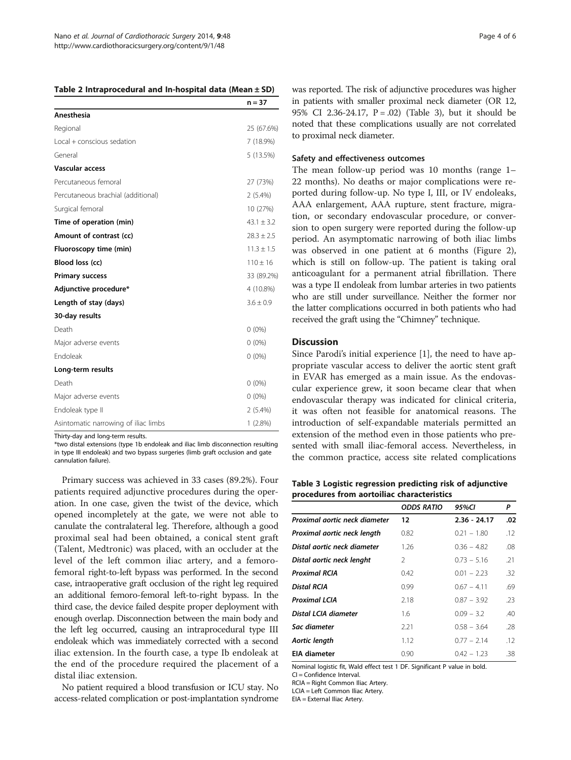<span id="page-3-0"></span>

| Table 2 Intraprocedural and In-hospital data (Mean $\pm$ SD) |  |  |
|--------------------------------------------------------------|--|--|
|--------------------------------------------------------------|--|--|

|                                      | $n = 37$       |
|--------------------------------------|----------------|
| Anesthesia                           |                |
| Regional                             | 25 (67.6%)     |
| Local + conscious sedation           | 7 (18.9%)      |
| General                              | 5 (13.5%)      |
| <b>Vascular access</b>               |                |
| Percutaneous femoral                 | 27 (73%)       |
| Percutaneous brachial (additional)   | $2(5.4\%)$     |
| Surgical femoral                     | 10 (27%)       |
| Time of operation (min)              | $43.1 \pm 3.2$ |
| Amount of contrast (cc)              | $28.3 \pm 2.5$ |
| Fluoroscopy time (min)               | $11.3 \pm 1.5$ |
| Blood loss (cc)                      | $110 \pm 16$   |
| <b>Primary success</b>               | 33 (89.2%)     |
| Adjunctive procedure*                | 4 (10.8%)      |
| Length of stay (days)                | $3.6 \pm 0.9$  |
| 30-day results                       |                |
| Death                                | $0(0\%)$       |
| Major adverse events                 | $0(0\%)$       |
| Endoleak                             | $0(0\%)$       |
| Long-term results                    |                |
| Death                                | $0(0\%)$       |
| Major adverse events                 | $0(0\%)$       |
| Endoleak type II                     | $2(5.4\%)$     |
| Asintomatic narrowing of iliac limbs | $1(2.8\%)$     |

Thirty-day and long-term results.

\*two distal extensions (type 1b endoleak and iliac limb disconnection resulting in type III endoleak) and two bypass surgeries (limb graft occlusion and gate cannulation failure).

Primary success was achieved in 33 cases (89.2%). Four patients required adjunctive procedures during the operation. In one case, given the twist of the device, which opened incompletely at the gate, we were not able to canulate the contralateral leg. Therefore, although a good proximal seal had been obtained, a conical stent graft (Talent, Medtronic) was placed, with an occluder at the level of the left common iliac artery, and a femorofemoral right-to-left bypass was performed. In the second case, intraoperative graft occlusion of the right leg required an additional femoro-femoral left-to-right bypass. In the third case, the device failed despite proper deployment with enough overlap. Disconnection between the main body and the left leg occurred, causing an intraprocedural type III endoleak which was immediately corrected with a second iliac extension. In the fourth case, a type Ib endoleak at the end of the procedure required the placement of a distal iliac extension.

No patient required a blood transfusion or ICU stay. No access-related complication or post-implantation syndrome

was reported. The risk of adjunctive procedures was higher in patients with smaller proximal neck diameter (OR 12, 95% CI 2.36-24.17, P = .02) (Table 3), but it should be noted that these complications usually are not correlated to proximal neck diameter.

#### Safety and effectiveness outcomes

The mean follow-up period was 10 months (range 1– 22 months). No deaths or major complications were reported during follow-up. No type I, III, or IV endoleaks, AAA enlargement, AAA rupture, stent fracture, migration, or secondary endovascular procedure, or conversion to open surgery were reported during the follow-up period. An asymptomatic narrowing of both iliac limbs was observed in one patient at 6 months (Figure [2](#page-4-0)), which is still on follow-up. The patient is taking oral anticoagulant for a permanent atrial fibrillation. There was a type II endoleak from lumbar arteries in two patients who are still under surveillance. Neither the former nor the latter complications occurred in both patients who had received the graft using the "Chimney" technique.

## **Discussion**

Since Parodi's initial experience [[1](#page-5-0)], the need to have appropriate vascular access to deliver the aortic stent graft in EVAR has emerged as a main issue. As the endovascular experience grew, it soon became clear that when endovascular therapy was indicated for clinical criteria, it was often not feasible for anatomical reasons. The introduction of self-expandable materials permitted an extension of the method even in those patients who presented with small iliac-femoral access. Nevertheless, in the common practice, access site related complications

# Table 3 Logistic regression predicting risk of adjunctive procedures from aortoiliac characteristics

|                               | <b>ODDS RATIO</b> | 95%CI         | P   |
|-------------------------------|-------------------|---------------|-----|
| Proximal aortic neck diameter | 12                | 2.36 - 24.17  | .02 |
| Proximal aortic neck length   | 0.82              | $0.21 - 1.80$ | .12 |
| Distal aortic neck diameter   | 1.26              | $0.36 - 4.82$ | .08 |
| Distal aortic neck lenght     | 2                 | $0.73 - 5.16$ | .21 |
| <b>Proximal RCIA</b>          | 0.42              | $0.01 - 2.23$ | .32 |
| Distal RCIA                   | 0.99              | $0.67 - 4.11$ | .69 |
| <b>Proximal LCIA</b>          | 2.18              | $0.87 - 3.92$ | .23 |
| Distal LCIA diameter          | 1.6               | $0.09 - 3.2$  | .40 |
| Sac diameter                  | 2.21              | $0.58 - 3.64$ | .28 |
| Aortic length                 | 1.12              | $0.77 - 2.14$ | .12 |
| <b>EIA diameter</b>           | 0.90              | $0.42 - 1.23$ | .38 |

Nominal logistic fit, Wald effect test 1 DF. Significant P value in bold. CI = Confidence Interval.

RCIA = Right Common Iliac Artery.

LCIA = Left Common Iliac Artery.

EIA = External Iliac Artery.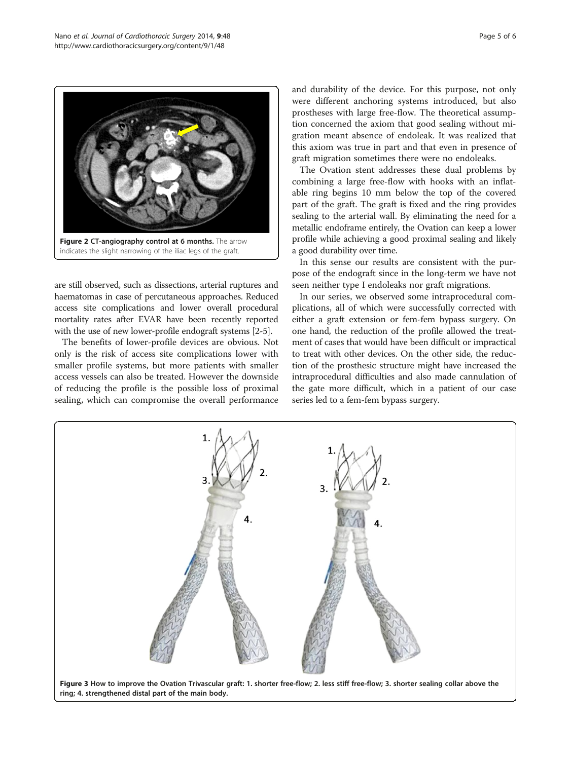<span id="page-4-0"></span>

are still observed, such as dissections, arterial ruptures and haematomas in case of percutaneous approaches. Reduced access site complications and lower overall procedural mortality rates after EVAR have been recently reported with the use of new lower-profile endograft systems [\[2-5](#page-5-0)].

The benefits of lower-profile devices are obvious. Not only is the risk of access site complications lower with smaller profile systems, but more patients with smaller access vessels can also be treated. However the downside of reducing the profile is the possible loss of proximal sealing, which can compromise the overall performance and durability of the device. For this purpose, not only were different anchoring systems introduced, but also prostheses with large free-flow. The theoretical assumption concerned the axiom that good sealing without migration meant absence of endoleak. It was realized that this axiom was true in part and that even in presence of graft migration sometimes there were no endoleaks.

The Ovation stent addresses these dual problems by combining a large free-flow with hooks with an inflatable ring begins 10 mm below the top of the covered part of the graft. The graft is fixed and the ring provides sealing to the arterial wall. By eliminating the need for a metallic endoframe entirely, the Ovation can keep a lower profile while achieving a good proximal sealing and likely a good durability over time.

In this sense our results are consistent with the purpose of the endograft since in the long-term we have not seen neither type I endoleaks nor graft migrations.

In our series, we observed some intraprocedural complications, all of which were successfully corrected with either a graft extension or fem-fem bypass surgery. On one hand, the reduction of the profile allowed the treatment of cases that would have been difficult or impractical to treat with other devices. On the other side, the reduction of the prosthesic structure might have increased the intraprocedural difficulties and also made cannulation of the gate more difficult, which in a patient of our case series led to a fem-fem bypass surgery.